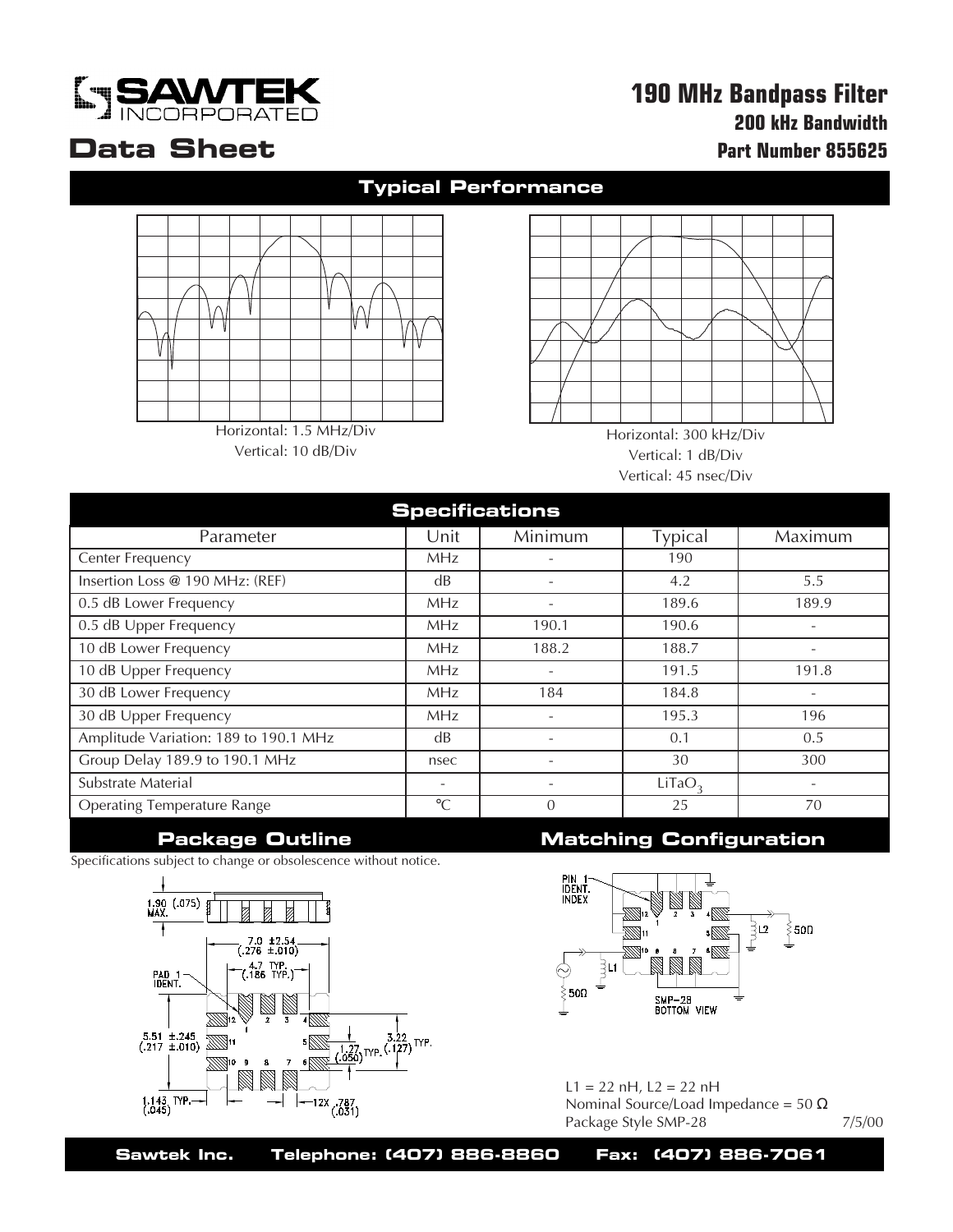

## **200 kHz Bandwidth Part Number 855625 190 MHz Bandpass Filter**

# **Data Sheet**

### **Typical Performance**



Horizontal: 300 kHz/Div<br>Vertical: 1 dB/Div 1zontai: 300 kHz/<br>Vertical: 1 dB/Div Vertical: 45 nsec/Div

| <b>Specifications</b>                 |                 |          |                    |         |
|---------------------------------------|-----------------|----------|--------------------|---------|
| Parameter                             | Unit            | Minimum  | Typical            | Maximum |
| Center Frequency                      | <b>MHz</b>      |          | 190                |         |
| Insertion Loss @ 190 MHz: (REF)       | dB              |          | 4.2                | 5.5     |
| 0.5 dB Lower Frequency                | <b>MHz</b>      |          | 189.6              | 189.9   |
| 0.5 dB Upper Frequency                | <b>MHz</b>      | 190.1    | 190.6              |         |
| 10 dB Lower Frequency                 | <b>MHz</b>      | 188.2    | 188.7              |         |
| 10 dB Upper Frequency                 | <b>MHz</b>      |          | 191.5              | 191.8   |
| 30 dB Lower Frequency                 | <b>MHz</b>      | 184      | 184.8              |         |
| 30 dB Upper Frequency                 | <b>MHz</b>      |          | 195.3              | 196     |
| Amplitude Variation: 189 to 190.1 MHz | dB              |          | 0.1                | 0.5     |
| Group Delay 189.9 to 190.1 MHz        | nsec            |          | 30                 | 300     |
| Substrate Material                    |                 |          | LiTaO <sub>2</sub> |         |
| <b>Operating Temperature Range</b>    | $\rm ^{\circ}C$ | $\Omega$ | 25                 | 70      |

Specifications subject to change or obsolescence without notice.



### Package Outline **Matching Configuration**



 $L1 = 22$  nH,  $L2 = 22$  nH Nominal Source/Load Impedance = 50 Ω Package Style SMP-28 7/5/00

**Sawtek Inc. Telephone: (407) 886-8860 Fax: (407) 886-7061**